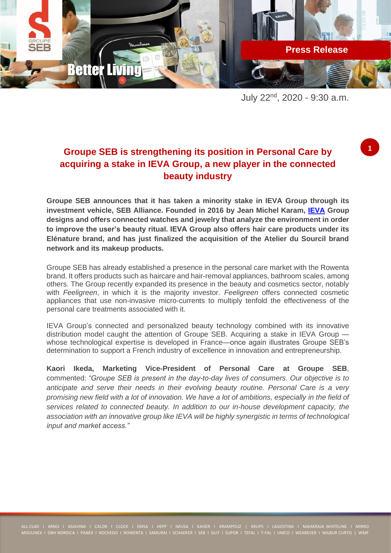

July 22nd, 2020 - 9:30 a.m.

**1**

## **Groupe SEB is strengthening its position in Personal Care by acquiring a stake in IEVA Group, a new player in the connected beauty industry**

**Groupe SEB announces that it has taken a minority stake in IEVA Group through its investment vehicle, SEB Alliance. Founded in 2016 by Jean Michel Karam, [IEVA](https://www.ieva.io/en/) Group designs and offers connected watches and jewelry that analyze the environment in order to improve the user's beauty ritual. IEVA Group also offers hair care products under its Elénature brand, and has just finalized the acquisition of the Atelier du Sourcil brand network and its makeup products.**

Groupe SEB has already established a presence in the personal care market with the Rowenta brand. It offers products such as haircare and hair-removal appliances, bathroom scales, among others. The Group recently expanded its presence in the beauty and cosmetics sector, notably with *Feeligreen*, in which it is the majority investor. *Feeligreen* offers connected cosmetic appliances that use non-invasive micro-currents to multiply tenfold the effectiveness of the personal care treatments associated with it.

IEVA Group's connected and personalized beauty technology combined with its innovative distribution model caught the attention of Groupe SEB. Acquiring a stake in IEVA Group whose technological expertise is developed in France—once again illustrates Groupe SEB's determination to support a French industry of excellence in innovation and entrepreneurship.

**Kaori Ikeda, Marketing Vice-President of Personal Care at Groupe SEB**, commented: *"Groupe SEB is present in the day-to-day lives of consumers. Our objective is to anticipate and serve their needs in their evolving beauty routine. Personal Care is a very promising new field with a lot of innovation. We have a lot of ambitions, especially in the field of services related to connected beauty. In addition to our in-house development capacity, the association with an innovative group like IEVA will be highly synergistic in terms of technological input and market access."*